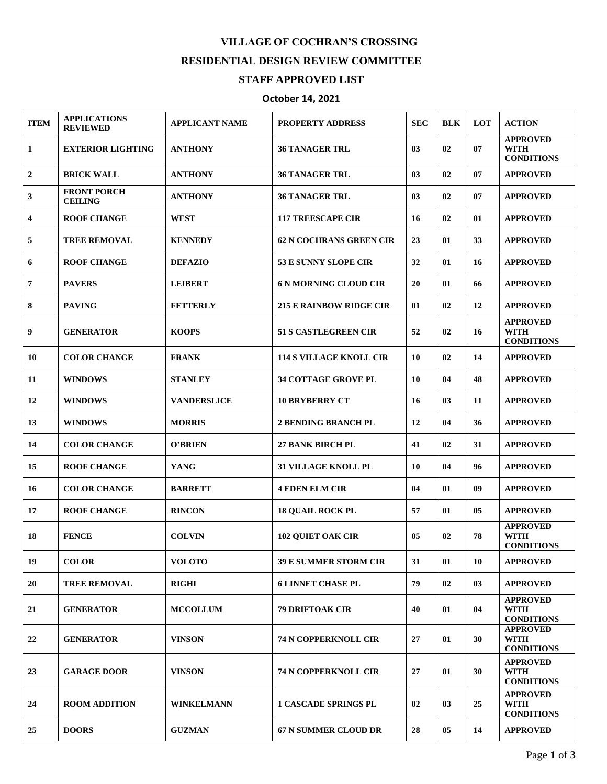## **VILLAGE OF COCHRAN'S CROSSING RESIDENTIAL DESIGN REVIEW COMMITTEE**

## **STAFF APPROVED LIST**

## **October 14, 2021**

| <b>ITEM</b>             | <b>APPLICATIONS</b><br><b>REVIEWED</b> | <b>APPLICANT NAME</b> | <b>PROPERTY ADDRESS</b>        | <b>SEC</b> | <b>BLK</b> | <b>LOT</b>     | <b>ACTION</b>                                       |
|-------------------------|----------------------------------------|-----------------------|--------------------------------|------------|------------|----------------|-----------------------------------------------------|
| 1                       | <b>EXTERIOR LIGHTING</b>               | <b>ANTHONY</b>        | <b>36 TANAGER TRL</b>          | 03         | 02         | 07             | <b>APPROVED</b><br><b>WITH</b><br><b>CONDITIONS</b> |
| $\mathbf{2}$            | <b>BRICK WALL</b>                      | <b>ANTHONY</b>        | <b>36 TANAGER TRL</b>          | 03         | 02         | 07             | <b>APPROVED</b>                                     |
| 3                       | <b>FRONT PORCH</b><br><b>CEILING</b>   | <b>ANTHONY</b>        | <b>36 TANAGER TRL</b>          | 03         | 02         | 07             | <b>APPROVED</b>                                     |
| $\overline{\mathbf{4}}$ | <b>ROOF CHANGE</b>                     | <b>WEST</b>           | <b>117 TREESCAPE CIR</b>       | 16         | 02         | 01             | <b>APPROVED</b>                                     |
| 5                       | <b>TREE REMOVAL</b>                    | <b>KENNEDY</b>        | 62 N COCHRANS GREEN CIR        | 23         | 01         | 33             | <b>APPROVED</b>                                     |
| 6                       | <b>ROOF CHANGE</b>                     | <b>DEFAZIO</b>        | 53 E SUNNY SLOPE CIR           | 32         | 01         | 16             | <b>APPROVED</b>                                     |
| 7                       | <b>PAVERS</b>                          | <b>LEIBERT</b>        | <b>6 N MORNING CLOUD CIR</b>   | 20         | 01         | 66             | <b>APPROVED</b>                                     |
| 8                       | <b>PAVING</b>                          | <b>FETTERLY</b>       | <b>215 E RAINBOW RIDGE CIR</b> | 01         | 02         | 12             | <b>APPROVED</b>                                     |
| 9                       | <b>GENERATOR</b>                       | <b>KOOPS</b>          | <b>51 S CASTLEGREEN CIR</b>    | 52         | 02         | 16             | <b>APPROVED</b><br><b>WITH</b><br><b>CONDITIONS</b> |
| 10                      | <b>COLOR CHANGE</b>                    | <b>FRANK</b>          | <b>114 S VILLAGE KNOLL CIR</b> | 10         | 02         | 14             | <b>APPROVED</b>                                     |
| 11                      | <b>WINDOWS</b>                         | <b>STANLEY</b>        | <b>34 COTTAGE GROVE PL</b>     | 10         | 04         | 48             | <b>APPROVED</b>                                     |
| 12                      | <b>WINDOWS</b>                         | <b>VANDERSLICE</b>    | <b>10 BRYBERRY CT</b>          | 16         | 03         | 11             | <b>APPROVED</b>                                     |
| 13                      | <b>WINDOWS</b>                         | <b>MORRIS</b>         | <b>2 BENDING BRANCH PL</b>     | 12         | 04         | 36             | <b>APPROVED</b>                                     |
| 14                      | <b>COLOR CHANGE</b>                    | O'BRIEN               | <b>27 BANK BIRCH PL</b>        | 41         | 02         | 31             | <b>APPROVED</b>                                     |
| 15                      | <b>ROOF CHANGE</b>                     | <b>YANG</b>           | <b>31 VILLAGE KNOLL PL</b>     | 10         | 04         | 96             | <b>APPROVED</b>                                     |
| 16                      | <b>COLOR CHANGE</b>                    | <b>BARRETT</b>        | <b>4 EDEN ELM CIR</b>          | 04         | 01         | 09             | <b>APPROVED</b>                                     |
| 17                      | <b>ROOF CHANGE</b>                     | <b>RINCON</b>         | <b>18 QUAIL ROCK PL</b>        | 57         | 01         | 0 <sub>5</sub> | <b>APPROVED</b>                                     |
| 18                      | <b>FENCE</b>                           | <b>COLVIN</b>         | <b>102 QUIET OAK CIR</b>       | 05         | 02         | 78             | <b>APPROVED</b><br><b>WITH</b><br><b>CONDITIONS</b> |
| 19                      | <b>COLOR</b>                           | <b>VOLOTO</b>         | <b>39 E SUMMER STORM CIR</b>   | 31         | 01         | 10             | <b>APPROVED</b>                                     |
| 20                      | <b>TREE REMOVAL</b>                    | <b>RIGHI</b>          | <b>6 LINNET CHASE PL</b>       | 79         | 02         | 03             | <b>APPROVED</b>                                     |
| 21                      | <b>GENERATOR</b>                       | <b>MCCOLLUM</b>       | <b>79 DRIFTOAK CIR</b>         | 40         | 01         | 04             | <b>APPROVED</b><br><b>WITH</b><br><b>CONDITIONS</b> |
| 22                      | <b>GENERATOR</b>                       | <b>VINSON</b>         | <b>74 N COPPERKNOLL CIR</b>    | 27         | 01         | 30             | <b>APPROVED</b><br><b>WITH</b><br><b>CONDITIONS</b> |
| 23                      | <b>GARAGE DOOR</b>                     | <b>VINSON</b>         | <b>74 N COPPERKNOLL CIR</b>    | 27         | 01         | 30             | <b>APPROVED</b><br><b>WITH</b><br><b>CONDITIONS</b> |
| 24                      | <b>ROOM ADDITION</b>                   | <b>WINKELMANN</b>     | <b>1 CASCADE SPRINGS PL</b>    | 02         | 03         | 25             | <b>APPROVED</b><br><b>WITH</b><br><b>CONDITIONS</b> |
| 25                      | <b>DOORS</b>                           | <b>GUZMAN</b>         | <b>67 N SUMMER CLOUD DR</b>    | 28         | 05         | 14             | <b>APPROVED</b>                                     |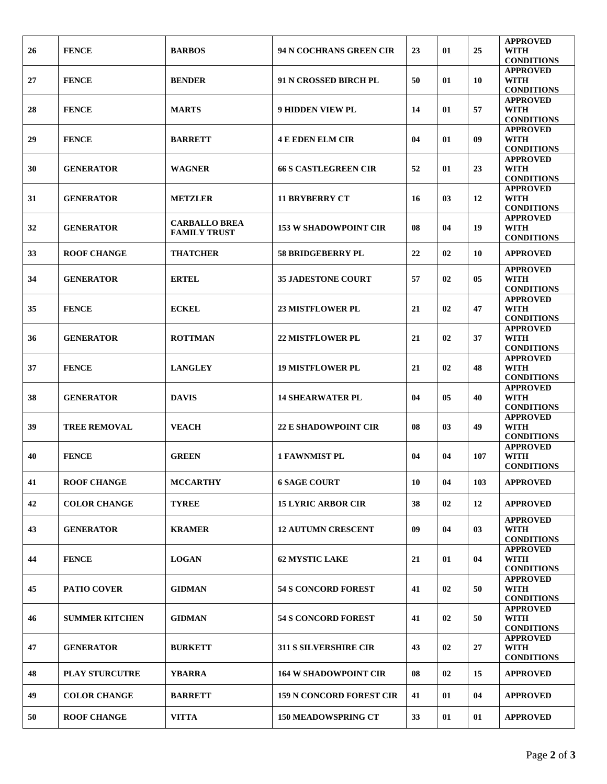| 26 | <b>FENCE</b>          | <b>BARBOS</b>                               | 94 N COCHRANS GREEN CIR         | 23 | 01 | 25  | <b>APPROVED</b><br><b>WITH</b><br><b>CONDITIONS</b> |
|----|-----------------------|---------------------------------------------|---------------------------------|----|----|-----|-----------------------------------------------------|
| 27 | <b>FENCE</b>          | <b>BENDER</b>                               | 91 N CROSSED BIRCH PL           | 50 | 01 | 10  | <b>APPROVED</b><br><b>WITH</b><br><b>CONDITIONS</b> |
| 28 | <b>FENCE</b>          | <b>MARTS</b>                                | <b>9 HIDDEN VIEW PL</b>         | 14 | 01 | 57  | <b>APPROVED</b><br><b>WITH</b><br><b>CONDITIONS</b> |
| 29 | <b>FENCE</b>          | <b>BARRETT</b>                              | <b>4 E EDEN ELM CIR</b>         | 04 | 01 | 09  | <b>APPROVED</b><br><b>WITH</b><br><b>CONDITIONS</b> |
| 30 | <b>GENERATOR</b>      | <b>WAGNER</b>                               | <b>66 S CASTLEGREEN CIR</b>     | 52 | 01 | 23  | <b>APPROVED</b><br><b>WITH</b><br><b>CONDITIONS</b> |
| 31 | <b>GENERATOR</b>      | <b>METZLER</b>                              | <b>11 BRYBERRY CT</b>           | 16 | 03 | 12  | <b>APPROVED</b><br><b>WITH</b><br><b>CONDITIONS</b> |
| 32 | <b>GENERATOR</b>      | <b>CARBALLO BREA</b><br><b>FAMILY TRUST</b> | <b>153 W SHADOWPOINT CIR</b>    | 08 | 04 | 19  | <b>APPROVED</b><br><b>WITH</b><br><b>CONDITIONS</b> |
| 33 | <b>ROOF CHANGE</b>    | <b>THATCHER</b>                             | <b>58 BRIDGEBERRY PL</b>        | 22 | 02 | 10  | <b>APPROVED</b>                                     |
| 34 | <b>GENERATOR</b>      | <b>ERTEL</b>                                | <b>35 JADESTONE COURT</b>       | 57 | 02 | 05  | <b>APPROVED</b><br><b>WITH</b><br><b>CONDITIONS</b> |
| 35 | <b>FENCE</b>          | <b>ECKEL</b>                                | <b>23 MISTFLOWER PL</b>         | 21 | 02 | 47  | <b>APPROVED</b><br><b>WITH</b><br><b>CONDITIONS</b> |
| 36 | <b>GENERATOR</b>      | <b>ROTTMAN</b>                              | <b>22 MISTFLOWER PL</b>         | 21 | 02 | 37  | <b>APPROVED</b><br><b>WITH</b><br><b>CONDITIONS</b> |
| 37 | <b>FENCE</b>          | <b>LANGLEY</b>                              | <b>19 MISTFLOWER PL</b>         | 21 | 02 | 48  | <b>APPROVED</b><br><b>WITH</b><br><b>CONDITIONS</b> |
| 38 | <b>GENERATOR</b>      | <b>DAVIS</b>                                | <b>14 SHEARWATER PL</b>         | 04 | 05 | 40  | <b>APPROVED</b><br><b>WITH</b><br><b>CONDITIONS</b> |
| 39 | <b>TREE REMOVAL</b>   | <b>VEACH</b>                                | <b>22 E SHADOWPOINT CIR</b>     | 08 | 03 | 49  | <b>APPROVED</b><br><b>WITH</b><br><b>CONDITIONS</b> |
| 40 | <b>FENCE</b>          | <b>GREEN</b>                                | <b>1 FAWNMIST PL</b>            | 04 | 04 | 107 | <b>APPROVED</b><br><b>WITH</b><br><b>CONDITIONS</b> |
| 41 | <b>ROOF CHANGE</b>    | <b>MCCARTHY</b>                             | <b>6 SAGE COURT</b>             | 10 | 04 | 103 | <b>APPROVED</b>                                     |
| 42 | <b>COLOR CHANGE</b>   | <b>TYREE</b>                                | <b>15 LYRIC ARBOR CIR</b>       | 38 | 02 | 12  | <b>APPROVED</b>                                     |
| 43 | <b>GENERATOR</b>      | <b>KRAMER</b>                               | <b>12 AUTUMN CRESCENT</b>       | 09 | 04 | 03  | <b>APPROVED</b><br><b>WITH</b><br><b>CONDITIONS</b> |
| 44 | <b>FENCE</b>          | <b>LOGAN</b>                                | <b>62 MYSTIC LAKE</b>           | 21 | 01 | 04  | <b>APPROVED</b><br>WITH<br><b>CONDITIONS</b>        |
| 45 | <b>PATIO COVER</b>    | <b>GIDMAN</b>                               | <b>54 S CONCORD FOREST</b>      | 41 | 02 | 50  | <b>APPROVED</b><br>WITH<br><b>CONDITIONS</b>        |
| 46 | <b>SUMMER KITCHEN</b> | <b>GIDMAN</b>                               | <b>54 S CONCORD FOREST</b>      | 41 | 02 | 50  | <b>APPROVED</b><br>WITH<br><b>CONDITIONS</b>        |
| 47 | <b>GENERATOR</b>      | <b>BURKETT</b>                              | <b>311 S SILVERSHIRE CIR</b>    | 43 | 02 | 27  | <b>APPROVED</b><br>WITH<br><b>CONDITIONS</b>        |
| 48 | <b>PLAY STURCUTRE</b> | YBARRA                                      | <b>164 W SHADOWPOINT CIR</b>    | 08 | 02 | 15  | <b>APPROVED</b>                                     |
| 49 | <b>COLOR CHANGE</b>   | <b>BARRETT</b>                              | <b>159 N CONCORD FOREST CIR</b> | 41 | 01 | 04  | <b>APPROVED</b>                                     |
| 50 | <b>ROOF CHANGE</b>    | <b>VITTA</b>                                | <b>150 MEADOWSPRING CT</b>      | 33 | 01 | 01  | <b>APPROVED</b>                                     |